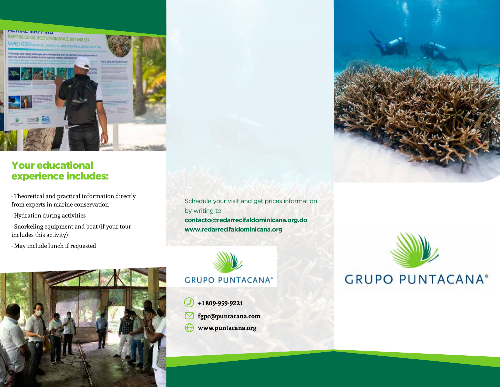

# Your educational experience includes:

- Theoretical and practical information directly from experts in marine conservation
- Hydration during activities
- Snorkeling equipment and boat (if your tour includes this activity)
- May include lunch if requested



Schedule your visit and get prices information by writing to: **contacto@redarrecifaldominicana.org.do www.redarrecifaldominicana.org**



**+1 809-959-9221 fgpc@puntacana.com www.puntacana.org**